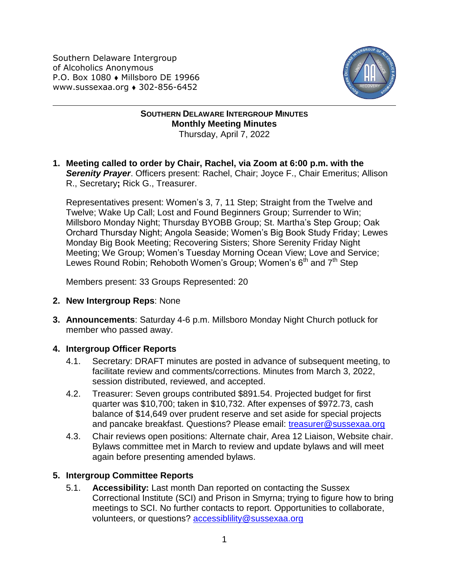Southern Delaware Intergroup of Alcoholics Anonymous P.O. Box 1080 • Millsboro DE 19966 www.sussexaa.org • 302-856-6452



**SOUTHERN DELAWARE INTERGROUP MINUTES Monthly Meeting Minutes** Thursday, April 7, 2022

**1. Meeting called to order by Chair, Rachel, via Zoom at 6:00 p.m. with the Serenity Prayer**. Officers present: Rachel, Chair; Joyce F., Chair Emeritus; Allison R., Secretary**;** Rick G., Treasurer.

Representatives present: Women's 3, 7, 11 Step; Straight from the Twelve and Twelve; Wake Up Call; Lost and Found Beginners Group; Surrender to Win; Millsboro Monday Night; Thursday BYOBB Group; St. Martha's Step Group; Oak Orchard Thursday Night; Angola Seaside; Women's Big Book Study Friday; Lewes Monday Big Book Meeting; Recovering Sisters; Shore Serenity Friday Night Meeting; We Group; Women's Tuesday Morning Ocean View; Love and Service; Lewes Round Robin; Rehoboth Women's Group; Women's  $6<sup>th</sup>$  and  $7<sup>th</sup>$  Step

Members present: 33 Groups Represented: 20

- **2. New Intergroup Reps**: None
- **3. Announcements**: Saturday 4-6 p.m. Millsboro Monday Night Church potluck for member who passed away.

## **4. Intergroup Officer Reports**

- 4.1. Secretary: DRAFT minutes are posted in advance of subsequent meeting, to facilitate review and comments/corrections. Minutes from March 3, 2022, session distributed, reviewed, and accepted.
- 4.2. Treasurer: Seven groups contributed \$891.54. Projected budget for first quarter was \$10,700; taken in \$10,732. After expenses of \$972.73, cash balance of \$14,649 over prudent reserve and set aside for special projects and pancake breakfast. Questions? Please email: [treasurer@sussexaa.org](mailto:treasurer@sussexaa.org)
- 4.3. Chair reviews open positions: Alternate chair, Area 12 Liaison, Website chair. Bylaws committee met in March to review and update bylaws and will meet again before presenting amended bylaws.

## **5. Intergroup Committee Reports**

5.1. **Accessibility:** Last month Dan reported on contacting the Sussex Correctional Institute (SCI) and Prison in Smyrna; trying to figure how to bring meetings to SCI. No further contacts to report. Opportunities to collaborate, volunteers, or questions? [accessiblility@sussexaa.org](mailto:accessiblility@sussexaa.org)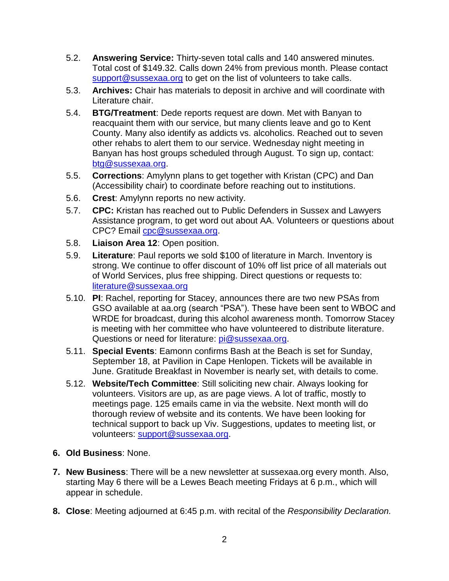- 5.2. **Answering Service:** Thirty-seven total calls and 140 answered minutes. Total cost of \$149.32. Calls down 24% from previous month. Please contact [support@sussexaa.org](mailto:sussexsupport@sussexaa.org) to get on the list of volunteers to take calls.
- 5.3. **Archives:** Chair has materials to deposit in archive and will coordinate with Literature chair.
- 5.4. **BTG/Treatment**: Dede reports request are down. Met with Banyan to reacquaint them with our service, but many clients leave and go to Kent County. Many also identify as addicts vs. alcoholics. Reached out to seven other rehabs to alert them to our service. Wednesday night meeting in Banyan has host groups scheduled through August. To sign up, contact: [btg@sussexaa.org.](mailto:btg@sussexaa.org)
- 5.5. **Corrections**: Amylynn plans to get together with Kristan (CPC) and Dan (Accessibility chair) to coordinate before reaching out to institutions.
- 5.6. **Crest**: Amylynn reports no new activity.
- 5.7. **CPC:** Kristan has reached out to Public Defenders in Sussex and Lawyers Assistance program, to get word out about AA. Volunteers or questions about CPC? Email [cpc@sussexaa.org.](mailto:cpc@sussexaa.org)
- 5.8. **Liaison Area 12**: Open position.
- 5.9. **Literature**: Paul reports we sold \$100 of literature in March. Inventory is strong. We continue to offer discount of 10% off list price of all materials out of World Services, plus free shipping. Direct questions or requests to: [literature@sussexaa.org](mailto:literature@sussexaa.org)
- 5.10. **PI**: Rachel, reporting for Stacey, announces there are two new PSAs from GSO available at aa.org (search "PSA"). These have been sent to WBOC and WRDE for broadcast, during this alcohol awareness month. Tomorrow Stacey is meeting with her committee who have volunteered to distribute literature. Questions or need for literature: [pi@sussexaa.org.](mailto:pi@sussexaa.org)
- 5.11. **Special Events**: Eamonn confirms Bash at the Beach is set for Sunday, September 18, at Pavilion in Cape Henlopen. Tickets will be available in June. Gratitude Breakfast in November is nearly set, with details to come.
- 5.12. **Website/Tech Committee**: Still soliciting new chair. Always looking for volunteers. Visitors are up, as are page views. A lot of traffic, mostly to meetings page. 125 emails came in via the website. Next month will do thorough review of website and its contents. We have been looking for technical support to back up Viv. Suggestions, updates to meeting list, or volunteers: [support@sussexaa.org.](mailto:support@sussexaa.org)
- **6. Old Business**: None.
- **7. New Business**: There will be a new newsletter at sussexaa.org every month. Also, starting May 6 there will be a Lewes Beach meeting Fridays at 6 p.m., which will appear in schedule.
- **8. Close**: Meeting adjourned at 6:45 p.m. with recital of the *Responsibility Declaration.*